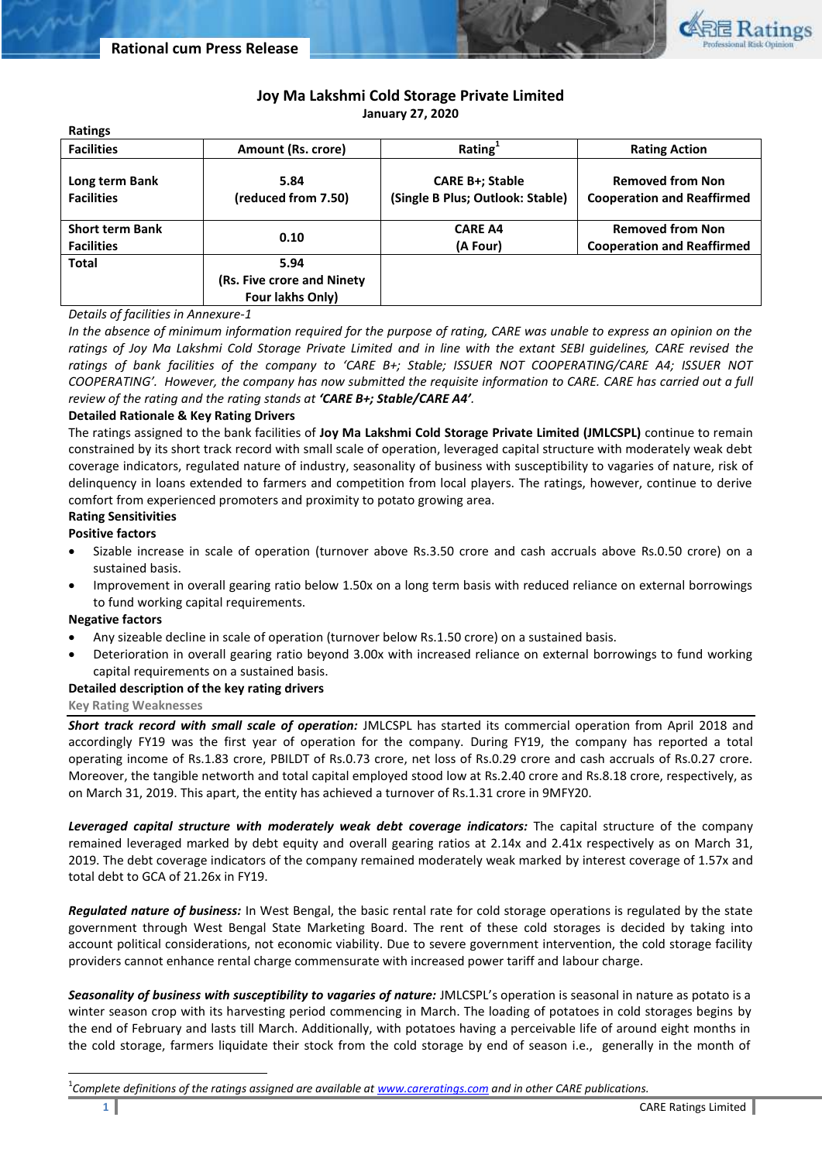

# **Joy Ma Lakshmi Cold Storage Private Limited**

**January 27, 2020**

| RALIIIKS                                    |                                                         |                                                            |                                                              |  |
|---------------------------------------------|---------------------------------------------------------|------------------------------------------------------------|--------------------------------------------------------------|--|
| <b>Facilities</b>                           | Amount (Rs. crore)                                      | Rating <sup>1</sup>                                        | <b>Rating Action</b>                                         |  |
| Long term Bank<br><b>Facilities</b>         | 5.84<br>(reduced from 7.50)                             | <b>CARE B+; Stable</b><br>(Single B Plus; Outlook: Stable) | <b>Removed from Non</b><br><b>Cooperation and Reaffirmed</b> |  |
| <b>Short term Bank</b><br><b>Facilities</b> | 0.10                                                    | <b>CARE A4</b><br>(A Four)                                 | <b>Removed from Non</b><br><b>Cooperation and Reaffirmed</b> |  |
| <b>Total</b>                                | 5.94<br>(Rs. Five crore and Ninety)<br>Four lakhs Only) |                                                            |                                                              |  |

# *Details of facilities in Annexure-1*

*In the absence of minimum information required for the purpose of rating, CARE was unable to express an opinion on the ratings of Joy Ma Lakshmi Cold Storage Private Limited and in line with the extant SEBI guidelines, CARE revised the ratings of bank facilities of the company to 'CARE B+; Stable; ISSUER NOT COOPERATING/CARE A4; ISSUER NOT COOPERATING'. However, the company has now submitted the requisite information to CARE. CARE has carried out a full review of the rating and the rating stands at 'CARE B+; Stable/CARE A4'.*

# **Detailed Rationale & Key Rating Drivers**

The ratings assigned to the bank facilities of **Joy Ma Lakshmi Cold Storage Private Limited (JMLCSPL)** continue to remain constrained by its short track record with small scale of operation, leveraged capital structure with moderately weak debt coverage indicators, regulated nature of industry, seasonality of business with susceptibility to vagaries of nature, risk of delinquency in loans extended to farmers and competition from local players. The ratings, however, continue to derive comfort from experienced promoters and proximity to potato growing area.

## **Rating Sensitivities**

**Positive factors**

**Ratings**

- Sizable increase in scale of operation (turnover above Rs.3.50 crore and cash accruals above Rs.0.50 crore) on a sustained basis.
- Improvement in overall gearing ratio below 1.50x on a long term basis with reduced reliance on external borrowings to fund working capital requirements.

## **Negative factors**

 $\overline{\phantom{a}}$ 

- Any sizeable decline in scale of operation (turnover below Rs.1.50 crore) on a sustained basis.
- Deterioration in overall gearing ratio beyond 3.00x with increased reliance on external borrowings to fund working capital requirements on a sustained basis.

## **Detailed description of the key rating drivers**

## **Key Rating Weaknesses**

*Short track record with small scale of operation:* JMLCSPL has started its commercial operation from April 2018 and accordingly FY19 was the first year of operation for the company. During FY19, the company has reported a total operating income of Rs.1.83 crore, PBILDT of Rs.0.73 crore, net loss of Rs.0.29 crore and cash accruals of Rs.0.27 crore. Moreover, the tangible networth and total capital employed stood low at Rs.2.40 crore and Rs.8.18 crore, respectively, as on March 31, 2019. This apart, the entity has achieved a turnover of Rs.1.31 crore in 9MFY20.

*Leveraged capital structure with moderately weak debt coverage indicators:* The capital structure of the company remained leveraged marked by debt equity and overall gearing ratios at 2.14x and 2.41x respectively as on March 31, 2019. The debt coverage indicators of the company remained moderately weak marked by interest coverage of 1.57x and total debt to GCA of 21.26x in FY19.

*Regulated nature of business:* In West Bengal, the basic rental rate for cold storage operations is regulated by the state government through West Bengal State Marketing Board. The rent of these cold storages is decided by taking into account political considerations, not economic viability. Due to severe government intervention, the cold storage facility providers cannot enhance rental charge commensurate with increased power tariff and labour charge.

Seasonality of business with susceptibility to vagaries of nature: JMLCSPL's operation is seasonal in nature as potato is a winter season crop with its harvesting period commencing in March. The loading of potatoes in cold storages begins by the end of February and lasts till March. Additionally, with potatoes having a perceivable life of around eight months in the cold storage, farmers liquidate their stock from the cold storage by end of season i.e., generally in the month of

1 *Complete definitions of the ratings assigned are available a[t www.careratings.com](http://www.careratings.com/) and in other CARE publications.*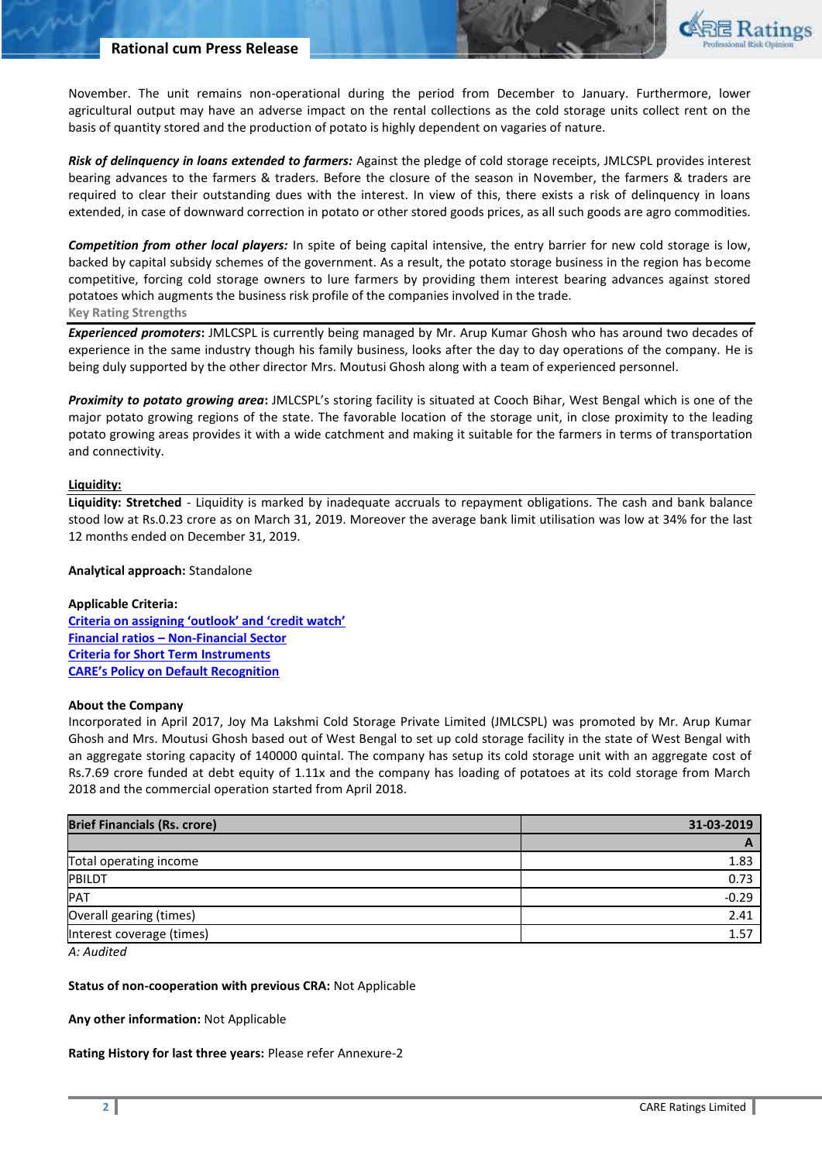

November. The unit remains non-operational during the period from December to January. Furthermore, lower agricultural output may have an adverse impact on the rental collections as the cold storage units collect rent on the basis of quantity stored and the production of potato is highly dependent on vagaries of nature.

*Risk of delinquency in loans extended to farmers:* Against the pledge of cold storage receipts, JMLCSPL provides interest bearing advances to the farmers & traders. Before the closure of the season in November, the farmers & traders are required to clear their outstanding dues with the interest. In view of this, there exists a risk of delinquency in loans extended, in case of downward correction in potato or other stored goods prices, as all such goods are agro commodities.

*Competition from other local players:* In spite of being capital intensive, the entry barrier for new cold storage is low, backed by capital subsidy schemes of the government. As a result, the potato storage business in the region has become competitive, forcing cold storage owners to lure farmers by providing them interest bearing advances against stored potatoes which augments the business risk profile of the companies involved in the trade. **Key Rating Strengths** 

*Experienced promoters***:** JMLCSPL is currently being managed by Mr. Arup Kumar Ghosh who has around two decades of experience in the same industry though his family business, looks after the day to day operations of the company. He is being duly supported by the other director Mrs. Moutusi Ghosh along with a team of experienced personnel.

*Proximity to potato growing area***:** JMLCSPL's storing facility is situated at Cooch Bihar, West Bengal which is one of the major potato growing regions of the state. The favorable location of the storage unit, in close proximity to the leading potato growing areas provides it with a wide catchment and making it suitable for the farmers in terms of transportation and connectivity.

#### **Liquidity:**

**Liquidity: Stretched** - Liquidity is marked by inadequate accruals to repayment obligations. The cash and bank balance stood low at Rs.0.23 crore as on March 31, 2019. Moreover the average bank limit utilisation was low at 34% for the last 12 months ended on December 31, 2019.

#### **Analytical approach:** Standalone

#### **Applicable Criteria:**

**[Criteria on assigning 'outlook' and 'credit watch'](http://www.careratings.com/pdf/resources/Rating_Outlook_and_credit_watch_May_2019.pdf) Financial ratios – [Non-Financial Sector](http://www.careratings.com/pdf/resources/FinancialratiosNonFinancialSector.pdf) Criteria for Short Ter[m Instruments](mailto:http://www.careratings.com/upload/NewsFiles/GetRated/Short%20Term%20Instruments.pdf) [CARE's Policy on Default Recognition](http://www.careratings.com/pdf/resources/CAREPolicyonDefaultRecognition.pdf)**

#### **About the Company**

Incorporated in April 2017, Joy Ma Lakshmi Cold Storage Private Limited (JMLCSPL) was promoted by Mr. Arup Kumar Ghosh and Mrs. Moutusi Ghosh based out of West Bengal to set up cold storage facility in the state of West Bengal with an aggregate storing capacity of 140000 quintal. The company has setup its cold storage unit with an aggregate cost of Rs.7.69 crore funded at debt equity of 1.11x and the company has loading of potatoes at its cold storage from March 2018 and the commercial operation started from April 2018.

| <b>Brief Financials (Rs. crore)</b> | 31-03-2019 |  |  |
|-------------------------------------|------------|--|--|
|                                     | r          |  |  |
| Total operating income              | 1.83       |  |  |
| PBILDT                              | 0.73       |  |  |
| PAT                                 | $-0.29$    |  |  |
| Overall gearing (times)             | 2.41       |  |  |
| Interest coverage (times)           | 1.57       |  |  |

*A: Audited*

#### **Status of non-cooperation with previous CRA:** Not Applicable

**Any other information:** Not Applicable

**Rating History for last three years:** Please refer Annexure-2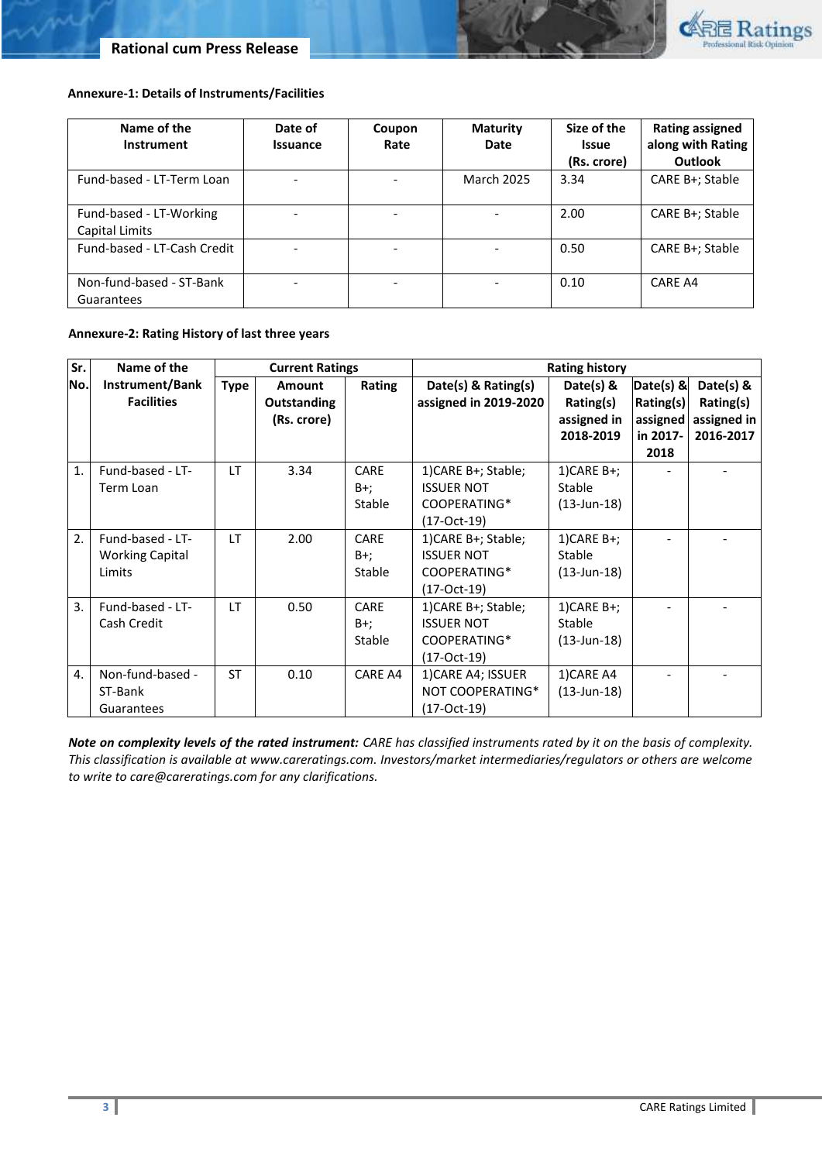

## **Annexure-1: Details of Instruments/Facilities**

| Name of the<br>Instrument                 | Date of<br><b>Issuance</b> | Coupon<br>Rate | <b>Maturity</b><br>Date | Size of the<br><b>Issue</b><br>(Rs. crore) | <b>Rating assigned</b><br>along with Rating<br><b>Outlook</b> |
|-------------------------------------------|----------------------------|----------------|-------------------------|--------------------------------------------|---------------------------------------------------------------|
| Fund-based - LT-Term Loan                 |                            |                | <b>March 2025</b>       | 3.34                                       | CARE B+; Stable                                               |
| Fund-based - LT-Working<br>Capital Limits |                            |                |                         | 2.00                                       | CARE B+; Stable                                               |
| Fund-based - LT-Cash Credit               |                            |                |                         | 0.50                                       | CARE B+; Stable                                               |
| Non-fund-based - ST-Bank<br>Guarantees    |                            |                |                         | 0.10                                       | CARE A4                                                       |

# **Annexure-2: Rating History of last three years**

| Sr.              | Name of the                                          | <b>Current Ratings</b> |                                                    | <b>Rating history</b> |                                                                           |                                                    |                                                          |                                                    |
|------------------|------------------------------------------------------|------------------------|----------------------------------------------------|-----------------------|---------------------------------------------------------------------------|----------------------------------------------------|----------------------------------------------------------|----------------------------------------------------|
| No.              | Instrument/Bank<br><b>Facilities</b>                 | <b>Type</b>            | <b>Amount</b><br><b>Outstanding</b><br>(Rs. crore) | Rating                | Date(s) & Rating(s)<br>assigned in 2019-2020                              | Date(s) &<br>Rating(s)<br>assigned in<br>2018-2019 | $Data(s)$ &<br>Rating(s)<br>assigned<br>in 2017-<br>2018 | Date(s) &<br>Rating(s)<br>assigned in<br>2016-2017 |
| 1.               | Fund-based - LT-<br>Term Loan                        | LT                     | 3.34                                               | CARE<br>B+;<br>Stable | 1) CARE B+; Stable;<br><b>ISSUER NOT</b><br>COOPERATING*<br>(17-Oct-19)   | $1)$ CARE B+;<br>Stable<br>$(13 - Jun - 18)$       |                                                          |                                                    |
| $\mathfrak{D}$ . | Fund-based - LT-<br><b>Working Capital</b><br>Limits | LT.                    | 2.00                                               | CARE<br>B+;<br>Stable | 1) CARE B+; Stable;<br><b>ISSUER NOT</b><br>COOPERATING*<br>$(17-Cct-19)$ | $1)$ CARE B+;<br>Stable<br>$(13 - Jun - 18)$       |                                                          |                                                    |
| 3.               | Fund-based - LT-<br>Cash Credit                      | LT                     | 0.50                                               | CARE<br>B+;<br>Stable | 1) CARE B+; Stable;<br><b>ISSUER NOT</b><br>COOPERATING*<br>(17-Oct-19)   | $1)$ CARE B+;<br>Stable<br>$(13 - Jun - 18)$       |                                                          |                                                    |
| 4.               | Non-fund-based -<br>ST-Bank<br>Guarantees            | <b>ST</b>              | 0.10                                               | CARE A4               | 1) CARE A4; ISSUER<br>NOT COOPERATING*<br>(17-Oct-19)                     | 1)CARE A4<br>$(13 - Jun - 18)$                     |                                                          |                                                    |

*Note on complexity levels of the rated instrument: CARE has classified instruments rated by it on the basis of complexity. This classification is available at www.careratings.com. Investors/market intermediaries/regulators or others are welcome to write to care@careratings.com for any clarifications.*